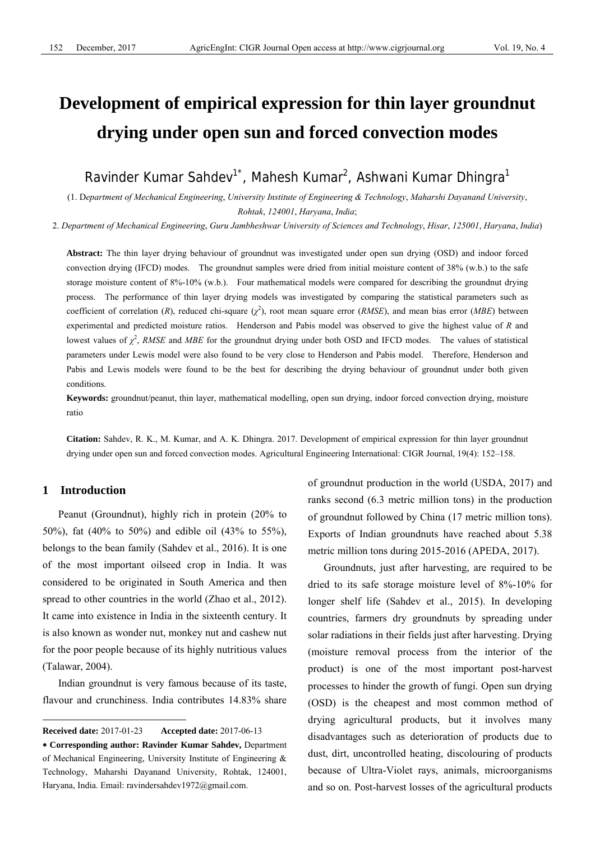# **Development of empirical expression for thin layer groundnut drying under open sun and forced convection modes**

Ravinder Kumar Sahdev<sup>1\*</sup>, Mahesh Kumar<sup>2</sup>, Ashwani Kumar Dhingra<sup>1</sup>

(1. D*epartment of Mechanical Engineering*, *University Institute of Engineering & Technology*, *Maharshi Dayanand University*, *Rohtak*, *124001*, *Haryana*, *India*;

2. *Department of Mechanical Engineering*, *Guru Jambheshwar University of Sciences and Technology*, *Hisar*, *125001*, *Haryana*, *India*)

**Abstract:** The thin layer drying behaviour of groundnut was investigated under open sun drying (OSD) and indoor forced convection drying (IFCD) modes. The groundnut samples were dried from initial moisture content of 38% (w.b.) to the safe storage moisture content of 8%-10% (w.b.). Four mathematical models were compared for describing the groundnut drying process. The performance of thin layer drying models was investigated by comparing the statistical parameters such as coefficient of correlation (*R*), reduced chi-square ( $\chi^2$ ), root mean square error (*RMSE*), and mean bias error (*MBE*) between experimental and predicted moisture ratios. Henderson and Pabis model was observed to give the highest value of *R* and lowest values of  $\chi^2$ , *RMSE* and *MBE* for the groundnut drying under both OSD and IFCD modes. The values of statistical parameters under Lewis model were also found to be very close to Henderson and Pabis model. Therefore, Henderson and Pabis and Lewis models were found to be the best for describing the drying behaviour of groundnut under both given conditions.

**Keywords:** groundnut/peanut, thin layer, mathematical modelling, open sun drying, indoor forced convection drying, moisture ratio

**Citation:** Sahdev, R. K., M. Kumar, and A. K. Dhingra. 2017. Development of empirical expression for thin layer groundnut drying under open sun and forced convection modes. Agricultural Engineering International: CIGR Journal, 19(4): 152–158.

# **1 Introduction**

 $\overline{a}$ 

Peanut (Groundnut), highly rich in protein (20% to 50%), fat (40% to 50%) and edible oil (43% to 55%), belongs to the bean family (Sahdev et al., 2016). It is one of the most important oilseed crop in India. It was considered to be originated in South America and then spread to other countries in the world (Zhao et al., 2012). It came into existence in India in the sixteenth century. It is also known as wonder nut, monkey nut and cashew nut for the poor people because of its highly nutritious values (Talawar, 2004).

Indian groundnut is very famous because of its taste, flavour and crunchiness. India contributes 14.83% share of groundnut production in the world (USDA, 2017) and ranks second (6.3 metric million tons) in the production of groundnut followed by China (17 metric million tons). Exports of Indian groundnuts have reached about 5.38 metric million tons during 2015-2016 (APEDA, 2017).

Groundnuts, just after harvesting, are required to be dried to its safe storage moisture level of 8%-10% for longer shelf life (Sahdev et al., 2015). In developing countries, farmers dry groundnuts by spreading under solar radiations in their fields just after harvesting. Drying (moisture removal process from the interior of the product) is one of the most important post-harvest processes to hinder the growth of fungi. Open sun drying (OSD) is the cheapest and most common method of drying agricultural products, but it involves many disadvantages such as deterioration of products due to dust, dirt, uncontrolled heating, discolouring of products because of Ultra-Violet rays, animals, microorganisms and so on. Post-harvest losses of the agricultural products

**Received date:** 2017-01-23 **Accepted date:** 2017-06-13

<sup>∗</sup> **Corresponding author: Ravinder Kumar Sahdev,** Department of Mechanical Engineering, University Institute of Engineering & Technology, Maharshi Dayanand University, Rohtak, 124001, Haryana, India. Email: ravindersahdev1972@gmail.com.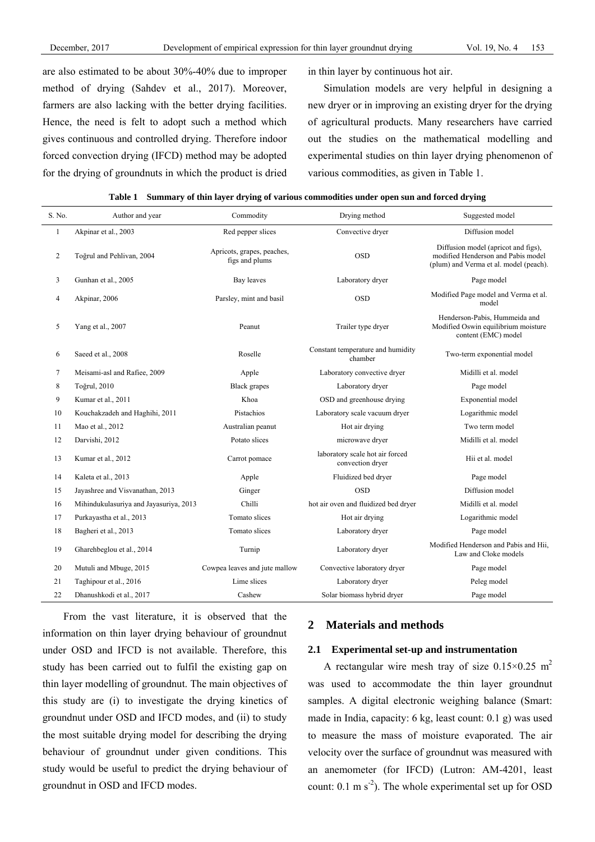are also estimated to be about 30%-40% due to improper method of drying (Sahdev et al., 2017). Moreover, farmers are also lacking with the better drying facilities. Hence, the need is felt to adopt such a method which gives continuous and controlled drying. Therefore indoor forced convection drying (IFCD) method may be adopted for the drying of groundnuts in which the product is dried in thin layer by continuous hot air.

Simulation models are very helpful in designing a new dryer or in improving an existing dryer for the drying of agricultural products. Many researchers have carried out the studies on the mathematical modelling and experimental studies on thin layer drying phenomenon of various commodities, as given in Table 1.

| S. No.       | Author and year                                                           | Commodity                     | Drying method                                       | Suggested model                                                                                                     |  |
|--------------|---------------------------------------------------------------------------|-------------------------------|-----------------------------------------------------|---------------------------------------------------------------------------------------------------------------------|--|
| $\mathbf{1}$ | Akpinar et al., 2003                                                      | Red pepper slices             |                                                     | Diffusion model                                                                                                     |  |
| 2            | Apricots, grapes, peaches,<br>Toğrul and Pehlivan, 2004<br>figs and plums |                               | <b>OSD</b>                                          | Diffusion model (apricot and figs),<br>modified Henderson and Pabis model<br>(plum) and Verma et al. model (peach). |  |
| 3            | Gunhan et al., 2005                                                       | Bay leaves                    | Laboratory dryer                                    | Page model                                                                                                          |  |
| 4            | Akpinar, 2006                                                             | Parsley, mint and basil       | <b>OSD</b>                                          | Modified Page model and Verma et al.<br>model                                                                       |  |
| 5            | Yang et al., 2007                                                         | Peanut                        | Trailer type dryer                                  | Henderson-Pabis. Hummeida and<br>Modified Oswin equilibrium moisture<br>content (EMC) model                         |  |
| 6            | Saeed et al., 2008                                                        | Roselle                       | Constant temperature and humidity<br>chamber        | Two-term exponential model                                                                                          |  |
| 7            | Meisami-asl and Rafiee, 2009                                              | Apple                         | Laboratory convective dryer                         | Midilli et al. model                                                                                                |  |
| 8            | Toğrul, 2010                                                              | <b>Black</b> grapes           | Laboratory dryer                                    | Page model                                                                                                          |  |
| 9            | Kumar et al., 2011                                                        | Khoa                          | OSD and greenhouse drying                           | Exponential model                                                                                                   |  |
| 10           | Kouchakzadeh and Haghihi, 2011                                            | Pistachios                    | Laboratory scale vacuum dryer                       | Logarithmic model                                                                                                   |  |
| 11           | Mao et al., 2012                                                          | Australian peanut             | Hot air drying                                      | Two term model                                                                                                      |  |
| 12           | Darvishi, 2012                                                            | Potato slices                 | microwave dryer                                     | Midilli et al. model                                                                                                |  |
| 13           | Kumar et al., 2012                                                        | Carrot pomace                 | laboratory scale hot air forced<br>convection dryer | Hii et al. model                                                                                                    |  |
| 14           | Kaleta et al., 2013                                                       | Apple                         | Fluidized bed dryer                                 | Page model                                                                                                          |  |
| 15           | Jayashree and Visvanathan, 2013                                           | Ginger                        | <b>OSD</b>                                          | Diffusion model                                                                                                     |  |
| 16           | Mihindukulasuriya and Jayasuriya, 2013                                    | Chilli                        | hot air oven and fluidized bed dryer                | Midilli et al. model                                                                                                |  |
| 17           | Purkayastha et al., 2013                                                  | Tomato slices                 | Hot air drying                                      | Logarithmic model                                                                                                   |  |
| 18           | Bagheri et al., 2013                                                      | Tomato slices                 | Laboratory dryer                                    | Page model                                                                                                          |  |
| 19           | Gharehbeglou et al., 2014                                                 | Turnip                        | Laboratory dryer                                    | Modified Henderson and Pabis and Hii,<br>Law and Cloke models                                                       |  |
| 20           | Mutuli and Mbuge, 2015                                                    | Cowpea leaves and jute mallow | Convective laboratory dryer                         | Page model                                                                                                          |  |
| 21           | Taghipour et al., 2016                                                    | Lime slices                   | Laboratory dryer                                    | Peleg model                                                                                                         |  |
| 22           | Dhanushkodi et al., 2017                                                  | Cashew                        | Solar biomass hybrid drver                          | Page model                                                                                                          |  |

|  |  | Table 1 Summary of thin layer drying of various commodities under open sun and forced drying |  |  |
|--|--|----------------------------------------------------------------------------------------------|--|--|
|  |  |                                                                                              |  |  |

From the vast literature, it is observed that the information on thin layer drying behaviour of groundnut under OSD and IFCD is not available. Therefore, this study has been carried out to fulfil the existing gap on thin layer modelling of groundnut. The main objectives of this study are (i) to investigate the drying kinetics of groundnut under OSD and IFCD modes, and (ii) to study the most suitable drying model for describing the drying behaviour of groundnut under given conditions. This study would be useful to predict the drying behaviour of groundnut in OSD and IFCD modes.

## **2 Materials and methods**

#### **2.1 Experimental set-up and instrumentation**

A rectangular wire mesh tray of size  $0.15 \times 0.25$  m<sup>2</sup> was used to accommodate the thin layer groundnut samples. A digital electronic weighing balance (Smart: made in India, capacity: 6 kg, least count: 0.1 g) was used to measure the mass of moisture evaporated. The air velocity over the surface of groundnut was measured with an anemometer (for IFCD) (Lutron: AM-4201, least count:  $0.1 \text{ m s}^{-2}$ ). The whole experimental set up for OSD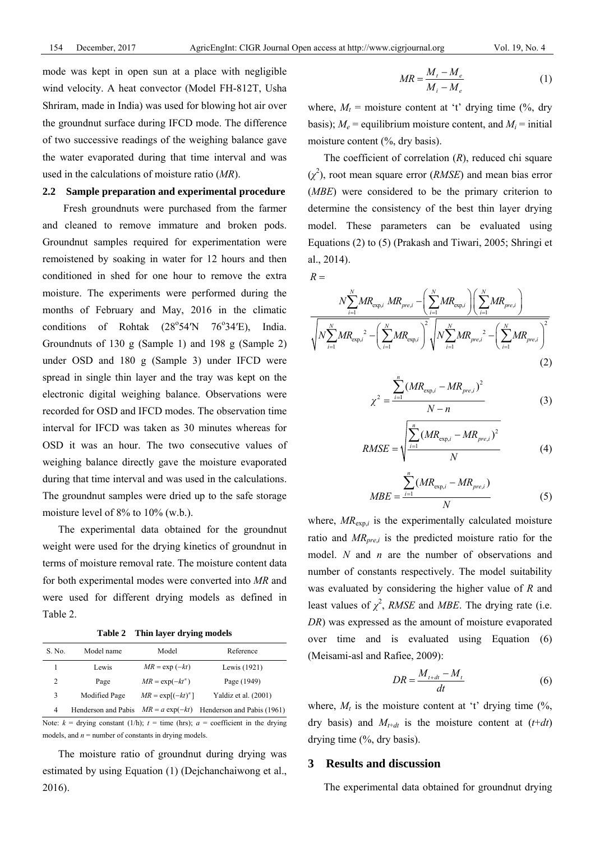mode was kept in open sun at a place with negligible wind velocity. A heat convector (Model FH-812T, Usha Shriram, made in India) was used for blowing hot air over the groundnut surface during IFCD mode. The difference of two successive readings of the weighing balance gave the water evaporated during that time interval and was used in the calculations of moisture ratio (*MR*).

## **2.2 Sample preparation and experimental procedure**

Fresh groundnuts were purchased from the farmer and cleaned to remove immature and broken pods. Groundnut samples required for experimentation were remoistened by soaking in water for 12 hours and then conditioned in shed for one hour to remove the extra moisture. The experiments were performed during the months of February and May, 2016 in the climatic conditions of Rohtak  $(28^{\circ}54^{\prime}\text{N}$   $76^{\circ}$ India. Groundnuts of 130 g (Sample 1) and 198 g (Sample 2) under OSD and 180 g (Sample 3) under IFCD were spread in single thin layer and the tray was kept on the electronic digital weighing balance. Observations were recorded for OSD and IFCD modes. The observation time interval for IFCD was taken as 30 minutes whereas for OSD it was an hour. The two consecutive values of weighing balance directly gave the moisture evaporated during that time interval and was used in the calculations. The groundnut samples were dried up to the safe storage moisture level of 8% to 10% (w.b.).

The experimental data obtained for the groundnut weight were used for the drying kinetics of groundnut in terms of moisture removal rate. The moisture content data for both experimental modes were converted into *MR* and were used for different drying models as defined in Table 2.

**Table 2 Thin layer drying models** 

| S. No. | Model name          | Model                | Reference                  |
|--------|---------------------|----------------------|----------------------------|
|        | Lewis               | $MR = \exp(-kt)$     | Lewis (1921)               |
| 2      | Page                | $MR = \exp(-kt^n)$   | Page (1949)                |
| 3      | Modified Page       | $MR = \exp[(-kt)^n]$ | Yaldiz et al. (2001)       |
| 4      | Henderson and Pabis | $MR = a \exp(-kt)$   | Henderson and Pabis (1961) |

Note:  $k =$  drying constant (1/h);  $t =$  time (hrs);  $a =$  coefficient in the drying models, and  $n =$  number of constants in drying models.

The moisture ratio of groundnut during drying was estimated by using Equation (1) (Dejchanchaiwong et al., 2016).

$$
MR = \frac{M_t - M_e}{M_i - M_e} \tag{1}
$$

where,  $M_t$  = moisture content at 't' drying time (%, dry basis);  $M_e$  = equilibrium moisture content, and  $M_i$  = initial moisture content (%, dry basis).

The coefficient of correlation (*R*), reduced chi square  $(\chi^2)$ , root mean square error (*RMSE*) and mean bias error (*MBE*) were considered to be the primary criterion to determine the consistency of the best thin layer drying model. These parameters can be evaluated using Equations (2) to (5) (Prakash and Tiwari, 2005; Shringi et al., 2014).

 $R =$ 

$$
\frac{N\sum_{i=1}^{N}MR_{\exp,i}MR_{\exp,i} - \left(\sum_{i=1}^{N}MR_{\exp,i}\right)\left(\sum_{i=1}^{N}MR_{\exp,i}\right)}{\sqrt{N\sum_{i=1}^{N}MR_{\exp,i}^{2} - \left(\sum_{i=1}^{N}MR_{\exp,i}\right)^{2} + \sqrt{N\sum_{i=1}^{N}MR_{\exp,i}^{2} - \left(\sum_{i=1}^{N}MR_{\exp,i}\right)^{2}}}}
$$
(2)

$$
\chi^{2} = \frac{\sum_{i=1}^{n} (MR_{\exp,i} - MR_{pre,i})^{2}}{N - n}
$$
 (3)

RMSE = 
$$
\sqrt{\frac{\sum_{i=1}^{n} (MR_{\exp,i} - MR_{pre,i})^2}{N}}
$$
 (4)

$$
MBE = \frac{\sum_{i=1}^{n} (MR_{\exp,i} - MR_{pre,i})}{N}
$$
 (5)

where,  $MR_{\text{exp},i}$  is the experimentally calculated moisture ratio and  $MR_{pre,i}$  is the predicted moisture ratio for the model. *N* and *n* are the number of observations and number of constants respectively. The model suitability was evaluated by considering the higher value of *R* and least values of  $\chi^2$ , *RMSE* and *MBE*. The drying rate (i.e. *DR*) was expressed as the amount of moisture evaporated over time and is evaluated using Equation (6) (Meisami-asl and Rafiee, 2009):

$$
DR = \frac{M_{t+dt} - M_t}{dt} \tag{6}
$$

where,  $M_t$  is the moisture content at 't' drying time  $\frac{1}{2}$ , dry basis) and  $M_{t+dt}$  is the moisture content at  $(t+dt)$ drying time (%, dry basis).

#### **3 Results and discussion**

The experimental data obtained for groundnut drying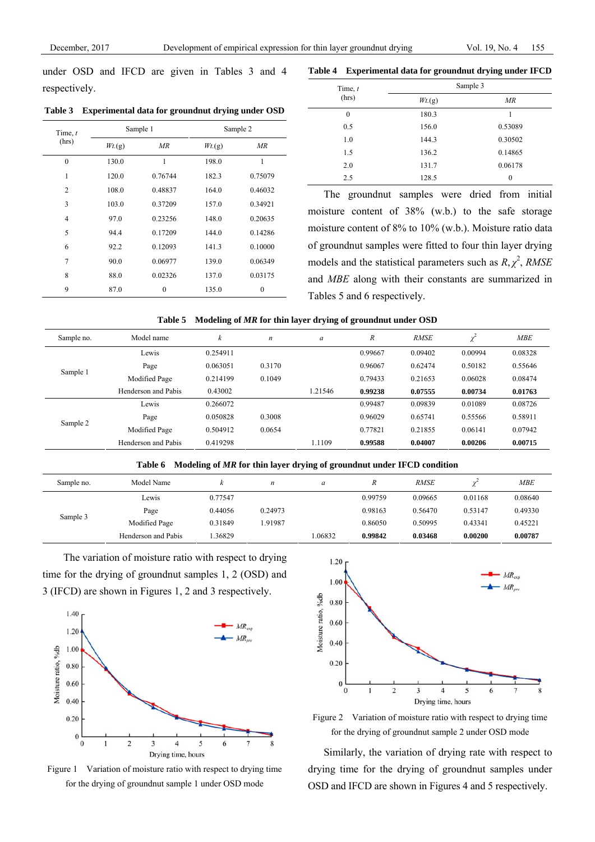under OSD and IFCD are given in Tables 3 and 4 respectively.

**Table 3 Experimental data for groundnut drying under OSD** 

| Time, $t$      |                 | Sample 1 | Sample 2        |          |  |
|----------------|-----------------|----------|-----------------|----------|--|
| (hrs)          | $Wt_{\cdot}(g)$ | MR       | $Wt_{\cdot}(g)$ | MR       |  |
| $\theta$       | 130.0           | 1        | 198.0           | 1        |  |
| 1              | 120.0           | 0.76744  | 182.3           | 0.75079  |  |
| $\overline{2}$ | 108.0           | 0.48837  | 164.0           | 0.46032  |  |
| 3              | 103.0           | 0.37209  | 157.0           | 0.34921  |  |
| $\overline{4}$ | 97.0            | 0.23256  | 148.0           | 0.20635  |  |
| 5              | 94.4            | 0.17209  | 144.0           | 0.14286  |  |
| 6              | 92.2            | 0.12093  | 141.3           | 0.10000  |  |
| $\overline{7}$ | 90.0            | 0.06977  | 139.0           | 0.06349  |  |
| 8              | 88.0            | 0.02326  | 137.0           | 0.03175  |  |
| 9              | 87.0            | $\theta$ | 135.0           | $\theta$ |  |

| Time, $t$        | Sample 3        |                  |  |  |  |
|------------------|-----------------|------------------|--|--|--|
| (hrs)            | $Wt_{\cdot}(g)$ | MR               |  |  |  |
| $\boldsymbol{0}$ | 180.3           |                  |  |  |  |
| 0.5              | 156.0           | 0.53089          |  |  |  |
| 1.0              | 144.3           | 0.30502          |  |  |  |
| 1.5              | 136.2           | 0.14865          |  |  |  |
| 2.0              | 131.7           | 0.06178          |  |  |  |
| 2.5              | 128.5           | $\boldsymbol{0}$ |  |  |  |

**Table 4 Experimental data for groundnut drying under IFCD** 

The groundnut samples were dried from initial moisture content of 38% (w.b.) to the safe storage moisture content of 8% to 10% (w.b.). Moisture ratio data of groundnut samples were fitted to four thin layer drying models and the statistical parameters such as  $R, \chi^2$ , *RMSE* and *MBE* along with their constants are summarized in Tables 5 and 6 respectively.

|  |  |  | Table 5 Modeling of MR for thin layer drying of groundnut under OSD |
|--|--|--|---------------------------------------------------------------------|
|--|--|--|---------------------------------------------------------------------|

| Sample no. | Model name          | k        | $\boldsymbol{n}$ | a       | $\overline{R}$ | <b>RMSE</b> | $\checkmark$ | MBE     |
|------------|---------------------|----------|------------------|---------|----------------|-------------|--------------|---------|
|            | Lewis               | 0.254911 |                  |         | 0.99667        | 0.09402     | 0.00994      | 0.08328 |
| Sample 1   | Page                | 0.063051 | 0.3170           |         | 0.96067        | 0.62474     | 0.50182      | 0.55646 |
|            | Modified Page       | 0.214199 | 0.1049           |         | 0.79433        | 0.21653     | 0.06028      | 0.08474 |
|            | Henderson and Pabis | 0.43002  |                  | 1.21546 | 0.99238        | 0.07555     | 0.00734      | 0.01763 |
|            | Lewis               | 0.266072 |                  |         | 0.99487        | 0.09839     | 0.01089      | 0.08726 |
| Sample 2   | Page                | 0.050828 | 0.3008           |         | 0.96029        | 0.65741     | 0.55566      | 0.58911 |
|            | Modified Page       | 0.504912 | 0.0654           |         | 0.77821        | 0.21855     | 0.06141      | 0.07942 |
|            | Henderson and Pabis | 0.419298 |                  | 1.1109  | 0.99588        | 0.04007     | 0.00206      | 0.00715 |

**Table 6 Modeling of** *MR* **for thin layer drying of groundnut under IFCD condition** 

| Sample no. | Model Name          | Ŀ<br>n  | n       | a      |         | <b>RMSE</b> |         | <b>MBE</b> |
|------------|---------------------|---------|---------|--------|---------|-------------|---------|------------|
|            | Lewis               | 0.77547 |         |        | 0.99759 | 0.09665     | 0.01168 | 0.08640    |
| Sample 3   | Page                | 0.44056 | 0.24973 |        | 0.98163 | 0.56470     | 0.53147 | 0.49330    |
|            | Modified Page       | 0.31849 | .91987  |        | 0.86050 | 0.50995     | 0.43341 | 0.45221    |
|            | Henderson and Pabis | .36829  |         | .06832 | 0.99842 | 0.03468     | 0.00200 | 0.00787    |

The variation of moisture ratio with respect to drying time for the drying of groundnut samples 1, 2 (OSD) and 3 (IFCD) are shown in Figures 1, 2 and 3 respectively.



Figure 1 Variation of moisture ratio with respect to drying time for the drying of groundnut sample 1 under OSD mode



Figure 2 Variation of moisture ratio with respect to drying time for the drying of groundnut sample 2 under OSD mode

Similarly, the variation of drying rate with respect to drying time for the drying of groundnut samples under OSD and IFCD are shown in Figures 4 and 5 respectively.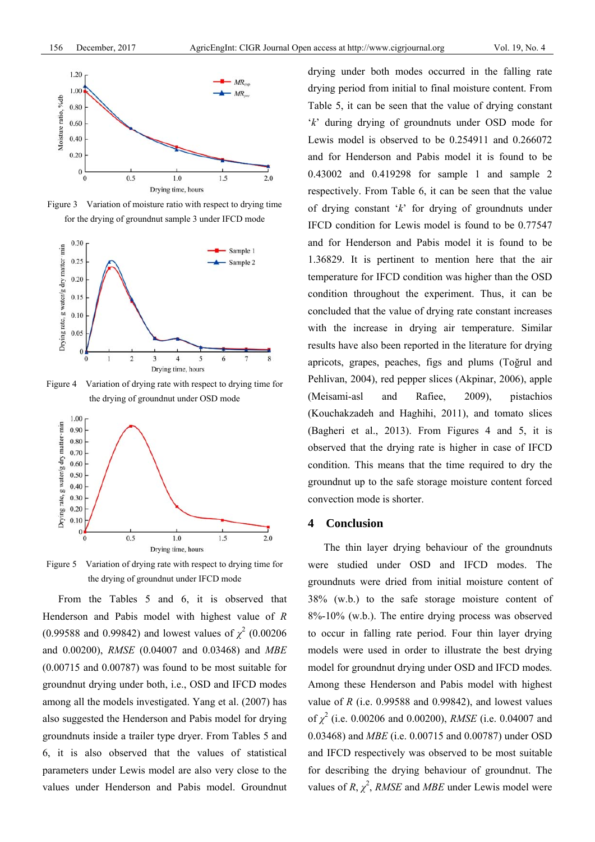

Figure 3 Variation of moisture ratio with respect to drying time for the drying of groundnut sample 3 under IFCD mode



Figure 4 Variation of drying rate with respect to drying time for the drying of groundnut under OSD mode



Figure 5 Variation of drying rate with respect to drying time for the drying of groundnut under IFCD mode

From the Tables 5 and 6, it is observed that Henderson and Pabis model with highest value of *R*  $(0.99588 \text{ and } 0.99842)$  and lowest values of  $\chi^2$  (0.00206) and 0.00200), *RMSE* (0.04007 and 0.03468) and *MBE* (0.00715 and 0.00787) was found to be most suitable for groundnut drying under both, i.e., OSD and IFCD modes among all the models investigated. Yang et al. (2007) has also suggested the Henderson and Pabis model for drying groundnuts inside a trailer type dryer. From Tables 5 and 6, it is also observed that the values of statistical parameters under Lewis model are also very close to the values under Henderson and Pabis model. Groundnut

drying under both modes occurred in the falling rate drying period from initial to final moisture content. From Table 5, it can be seen that the value of drying constant '*k*' during drying of groundnuts under OSD mode for Lewis model is observed to be 0.254911 and 0.266072 and for Henderson and Pabis model it is found to be 0.43002 and 0.419298 for sample 1 and sample 2 respectively. From Table 6, it can be seen that the value of drying constant '*k*' for drying of groundnuts under IFCD condition for Lewis model is found to be 0.77547 and for Henderson and Pabis model it is found to be 1.36829. It is pertinent to mention here that the air temperature for IFCD condition was higher than the OSD condition throughout the experiment. Thus, it can be concluded that the value of drying rate constant increases with the increase in drying air temperature. Similar results have also been reported in the literature for drying apricots, grapes, peaches, figs and plums (Toğrul and Pehlivan, 2004), red pepper slices (Akpinar, 2006), apple (Meisami-asl and Rafiee, 2009), pistachios (Kouchakzadeh and Haghihi, 2011), and tomato slices (Bagheri et al., 2013). From Figures 4 and 5, it is observed that the drying rate is higher in case of IFCD condition. This means that the time required to dry the groundnut up to the safe storage moisture content forced convection mode is shorter.

## **4 Conclusion**

The thin layer drying behaviour of the groundnuts were studied under OSD and IFCD modes. The groundnuts were dried from initial moisture content of 38% (w.b.) to the safe storage moisture content of 8%-10% (w.b.). The entire drying process was observed to occur in falling rate period. Four thin layer drying models were used in order to illustrate the best drying model for groundnut drying under OSD and IFCD modes. Among these Henderson and Pabis model with highest value of  $R$  (i.e. 0.99588 and 0.99842), and lowest values of *χ* 2 (i.e. 0.00206 and 0.00200), *RMSE* (i.e. 0.04007 and 0.03468) and *MBE* (i.e. 0.00715 and 0.00787) under OSD and IFCD respectively was observed to be most suitable for describing the drying behaviour of groundnut. The values of  $R$ ,  $\chi^2$ , *RMSE* and *MBE* under Lewis model were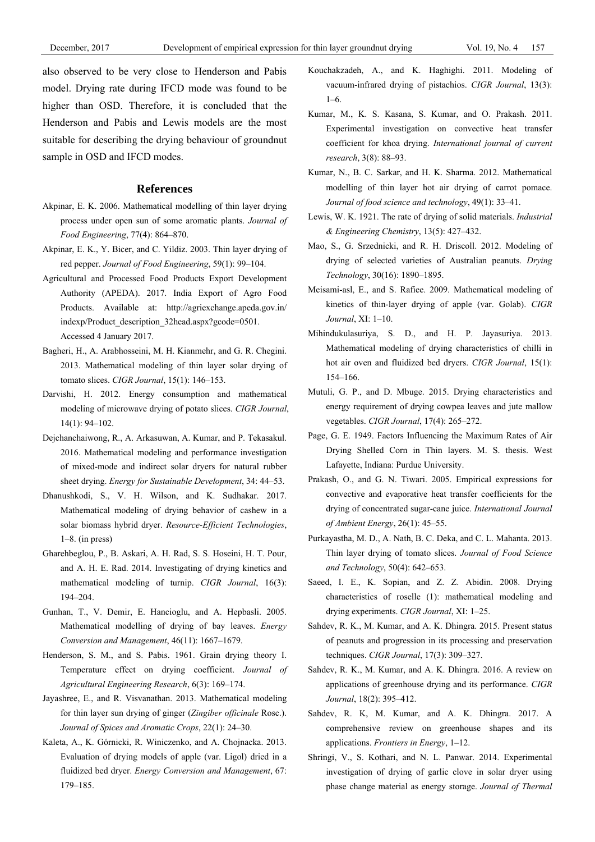also observed to be very close to Henderson and Pabis model. Drying rate during IFCD mode was found to be higher than OSD. Therefore, it is concluded that the Henderson and Pabis and Lewis models are the most suitable for describing the drying behaviour of groundnut sample in OSD and IFCD modes.

#### **References**

- Akpinar, E. K. 2006. Mathematical modelling of thin layer drying process under open sun of some aromatic plants. *Journal of Food Engineering*, 77(4): 864–870.
- Akpinar, E. K., Y. Bicer, and C. Yildiz. 2003. Thin layer drying of red pepper. *Journal of Food Engineering*, 59(1): 99–104.
- Agricultural and Processed Food Products Export Development Authority (APEDA). 2017. India Export of Agro Food Products. Available at: http://agriexchange.apeda.gov.in/ indexp/Product\_description\_32head.aspx?gcode=0501. Accessed 4 January 2017.
- Bagheri, H., A. Arabhosseini, M. H. Kianmehr, and G. R. Chegini. 2013. Mathematical modeling of thin layer solar drying of tomato slices. *CIGR Journal*, 15(1): 146–153.
- Darvishi, H. 2012. Energy consumption and mathematical modeling of microwave drying of potato slices. *CIGR Journal*, 14(1): 94–102.
- Dejchanchaiwong, R., A. Arkasuwan, A. Kumar, and P. Tekasakul. 2016. Mathematical modeling and performance investigation of mixed-mode and indirect solar dryers for natural rubber sheet drying. *Energy for Sustainable Development*, 34: 44–53.
- Dhanushkodi, S., V. H. Wilson, and K. Sudhakar. 2017. Mathematical modeling of drying behavior of cashew in a solar biomass hybrid dryer. *Resource-Efficient Technologies*, 1–8. (in press)
- Gharehbeglou, P., B. Askari, A. H. Rad, S. S. Hoseini, H. T. Pour, and A. H. E. Rad. 2014. Investigating of drying kinetics and mathematical modeling of turnip. *CIGR Journal*, 16(3): 194–204.
- Gunhan, T., V. Demir, E. Hancioglu, and A. Hepbasli. 2005. Mathematical modelling of drying of bay leaves. *Energy Conversion and Management*, 46(11): 1667–1679.
- Henderson, S. M., and S. Pabis. 1961. Grain drying theory I. Temperature effect on drying coefficient. *Journal of Agricultural Engineering Research*, 6(3): 169–174.
- Jayashree, E., and R. Visvanathan. 2013. Mathematical modeling for thin layer sun drying of ginger (*Zingiber officinale* Rosc.). *Journal of Spices and Aromatic Crops*, 22(1): 24–30.
- Kaleta, A., K. Górnicki, R. Winiczenko, and A. Chojnacka. 2013. Evaluation of drying models of apple (var. Ligol) dried in a fluidized bed dryer. *Energy Conversion and Management*, 67: 179–185.
- Kouchakzadeh, A., and K. Haghighi. 2011. Modeling of vacuum-infrared drying of pistachios. *CIGR Journal*, 13(3): 1–6.
- Kumar, M., K. S. Kasana, S. Kumar, and O. Prakash. 2011. Experimental investigation on convective heat transfer coefficient for khoa drying. *International journal of current research*, 3(8): 88–93.
- Kumar, N., B. C. Sarkar, and H. K. Sharma. 2012. Mathematical modelling of thin layer hot air drying of carrot pomace. *Journal of food science and technology*, 49(1): 33–41.
- Lewis, W. K. 1921. The rate of drying of solid materials. *Industrial & Engineering Chemistry*, 13(5): 427–432.
- Mao, S., G. Srzednicki, and R. H. Driscoll. 2012. Modeling of drying of selected varieties of Australian peanuts. *Drying Technology*, 30(16): 1890–1895.
- Meisami-asl, E., and S. Rafiee. 2009. Mathematical modeling of kinetics of thin-layer drying of apple (var. Golab). *CIGR Journal*, XI: 1–10.
- Mihindukulasuriya, S. D., and H. P. Jayasuriya. 2013. Mathematical modeling of drying characteristics of chilli in hot air oven and fluidized bed dryers. *CIGR Journal*, 15(1): 154–166.
- Mutuli, G. P., and D. Mbuge. 2015. Drying characteristics and energy requirement of drying cowpea leaves and jute mallow vegetables. *CIGR Journal*, 17(4): 265–272.
- Page, G. E. 1949. Factors Influencing the Maximum Rates of Air Drying Shelled Corn in Thin layers. M. S. thesis. West Lafayette, Indiana: Purdue University.
- Prakash, O., and G. N. Tiwari. 2005. Empirical expressions for convective and evaporative heat transfer coefficients for the drying of concentrated sugar-cane juice. *International Journal of Ambient Energy*, 26(1): 45–55.
- Purkayastha, M. D., A. Nath, B. C. Deka, and C. L. Mahanta. 2013. Thin layer drying of tomato slices. *Journal of Food Science and Technology*, 50(4): 642–653.
- Saeed, I. E., K. Sopian, and Z. Z. Abidin. 2008. Drying characteristics of roselle (1): mathematical modeling and drying experiments. *CIGR Journal*, XI: 1–25.
- Sahdev, R. K., M. Kumar, and A. K. Dhingra. 2015. Present status of peanuts and progression in its processing and preservation techniques. *CIGR Journal*, 17(3): 309–327.
- Sahdev, R. K., M. Kumar, and A. K. Dhingra. 2016. A review on applications of greenhouse drying and its performance. *CIGR Journal*, 18(2): 395–412.
- Sahdev, R. K, M. Kumar, and A. K. Dhingra. 2017. A comprehensive review on greenhouse shapes and its applications. *Frontiers in Energy*, 1–12.
- Shringi, V., S. Kothari, and N. L. Panwar. 2014. Experimental investigation of drying of garlic clove in solar dryer using phase change material as energy storage. *Journal of Thermal*